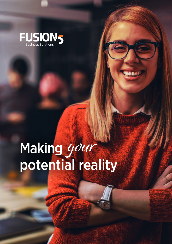

# Making your potential reality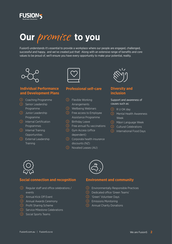

# **Our** promise **to you**

Fusion5 understands it's essential to provide a workplace where our people are engaged, challenged, successful and happy, and we've created just that! Along with an extensive range of benefits and core values to be proud of, we'll ensure you have every opportunity to make your potential, reality.



### **Individual Performance and Development Plans**

- $\odot$  Coaching Programme
- $\odot$  Senior Leadership Programme
- (>) Junior Leadership Programme
- **(b)** Internal Certification **Programmes**
- $\odot$  Internal Training Opportunities
- $\odot$  External Leadership **Training**



#### **Professional self-care**

- $\odot$  Flexible Working Arrangements
- $\Omega$  Wellbeing Webinars
- $(5)$  Free access to Employee Assistance Programme
- $\Diamond$  Birthday Leave
- $\odot$  Free annual flu vaccinations
- $\odot$  Gym Access (office dependent)
- $\odot$  Corporate health insurance discounts (NZ)
- ն Novated Leases (AU)



# **Diversity and inclusion**

#### Support and awareness of causes such as:

- ն R U OK day
- $\odot$  Mental Health Awareness Week
- $\odot$  Māori Language Week
- $\odot$  Cultural Celebrations
- $\odot$  International Food Days



#### **Social connection and recognition**

- $\odot$  Regular staff and office celebrations / events
- $\odot$  Annual Kick Off Event
- **S** Annual Awards Ceremony
- $\odot$  Profit Sharing Scheme
- Service Milestone Celebrations
- $\odot$  Social Sports Teams



#### **Environment and community**

- ն Environmentally Responsible Practices
- ն Dedicated office 'Green Teams'
- ն 'Green' Volunteer Days
- $\odot$  Emissions Monitoring
- $\odot$  Annual Charity Donations